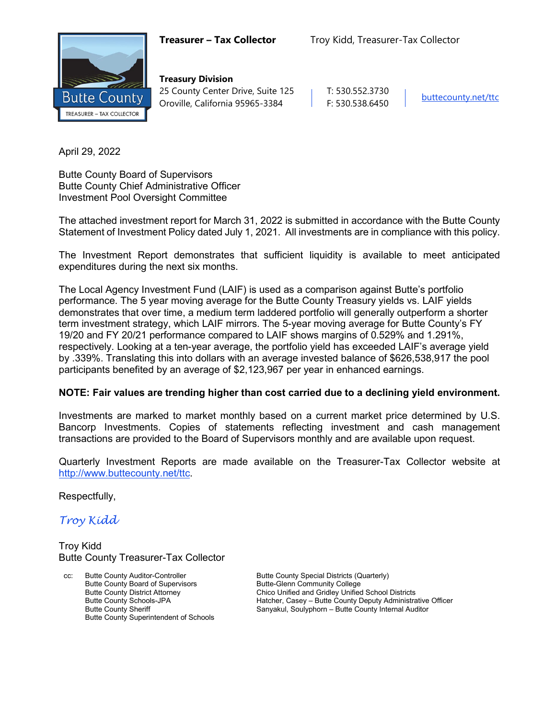

**Treasury Division** 25 County Center Drive, Suite 125 | T: 530.552.3730 Oroville, California 95965-3384 F: 530.538.6450

April 29, 2022

Butte County Board of Supervisors Butte County Chief Administrative Officer Investment Pool Oversight Committee

The attached investment report for March 31, 2022 is submitted in accordance with the Butte County Statement of Investment Policy dated July 1, 2021. All investments are in compliance with this policy.

The Investment Report demonstrates that sufficient liquidity is available to meet anticipated expenditures during the next six months.

The Local Agency Investment Fund (LAIF) is used as a comparison against Butte's portfolio performance. The 5 year moving average for the Butte County Treasury yields vs. LAIF yields demonstrates that over time, a medium term laddered portfolio will generally outperform a shorter term investment strategy, which LAIF mirrors. The 5-year moving average for Butte County's FY 19/20 and FY 20/21 performance compared to LAIF shows margins of 0.529% and 1.291%, respectively. Looking at a ten-year average, the portfolio yield has exceeded LAIF's average yield by .339%. Translating this into dollars with an average invested balance of \$626,538,917 the pool participants benefited by an average of \$2,123,967 per year in enhanced earnings.

### **NOTE: Fair values are trending higher than cost carried due to a declining yield environment.**

Investments are marked to market monthly based on a current market price determined by U.S. Bancorp Investments. Copies of statements reflecting investment and cash management transactions are provided to the Board of Supervisors monthly and are available upon request.

Quarterly Investment Reports are made available on the Treasurer-Tax Collector website at <http://www.buttecounty.net/ttc>.

Respectfully,

*Troy Kidd*

Troy Kidd Butte County Treasurer-Tax Collector

cc: Butte County Auditor-Controller Butte County Special Districts (Quarterly) Butte County Board of Supervisors<br>
Butte County District Attorney<br>
Chico Unified and Gridley Unified Butte County Superintendent of Schools

Chico Unified and Gridley Unified School Districts Butte County Schools-JPA<br>
Butte County Sheriff The County Sanyakul, Soulyphorn – Butte County Internal Auditor<br>
Sanyakul, Soulyphorn – Butte County Internal Auditor Sanyakul, Soulyphorn – Butte County Internal Auditor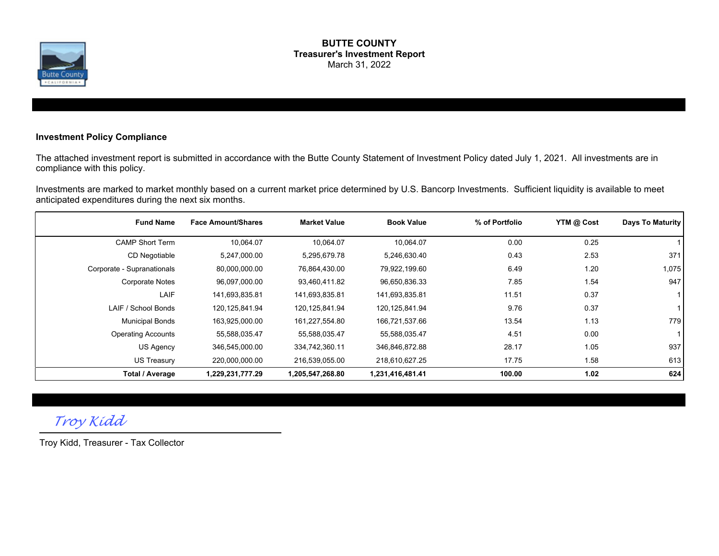

#### **BUTTE COUNTY Treasurer's Investment Report** March 31, 2022

### **Investment Policy Compliance**

The attached investment report is submitted in accordance with the Butte County Statement of Investment Policy dated July 1, 2021. All investments are in compliance with this policy.

Investments are marked to market monthly based on a current market price determined by U.S. Bancorp Investments. Sufficient liquidity is available to meet anticipated expenditures during the next six months.

| <b>Fund Name</b>           | <b>Face Amount/Shares</b> | <b>Market Value</b> | <b>Book Value</b> | % of Portfolio | YTM @ Cost | Days To Maturity |
|----------------------------|---------------------------|---------------------|-------------------|----------------|------------|------------------|
| <b>CAMP Short Term</b>     | 10,064.07                 | 10,064.07           | 10,064.07         | 0.00           | 0.25       |                  |
| CD Negotiable              | 5,247,000.00              | 5,295,679.78        | 5,246,630.40      | 0.43           | 2.53       | 371              |
| Corporate - Supranationals | 80,000,000.00             | 76,864,430.00       | 79,922,199.60     | 6.49           | 1.20       | 1,075            |
| <b>Corporate Notes</b>     | 96,097,000.00             | 93,460,411.82       | 96,650,836.33     | 7.85           | 1.54       | 947              |
| LAIF                       | 141,693,835.81            | 141,693,835.81      | 141,693,835.81    | 11.51          | 0.37       | 1 I              |
| LAIF / School Bonds        | 120,125,841.94            | 120,125,841.94      | 120,125,841.94    | 9.76           | 0.37       |                  |
| <b>Municipal Bonds</b>     | 163,925,000.00            | 161,227,554.80      | 166,721,537.66    | 13.54          | 1.13       | 779              |
| <b>Operating Accounts</b>  | 55,588,035.47             | 55,588,035.47       | 55,588,035.47     | 4.51           | 0.00       | 11               |
| US Agency                  | 346,545,000.00            | 334,742,360.11      | 346,846,872.88    | 28.17          | 1.05       | 937              |
| US Treasury                | 220,000,000.00            | 216,539,055.00      | 218,610,627.25    | 17.75          | 1.58       | 613              |
| <b>Total / Average</b>     | 1,229,231,777.29          | 1,205,547,268.80    | 1,231,416,481.41  | 100.00         | 1.02       | 624              |

*Troy Kidd*

Troy Kidd, Treasurer - Tax Collector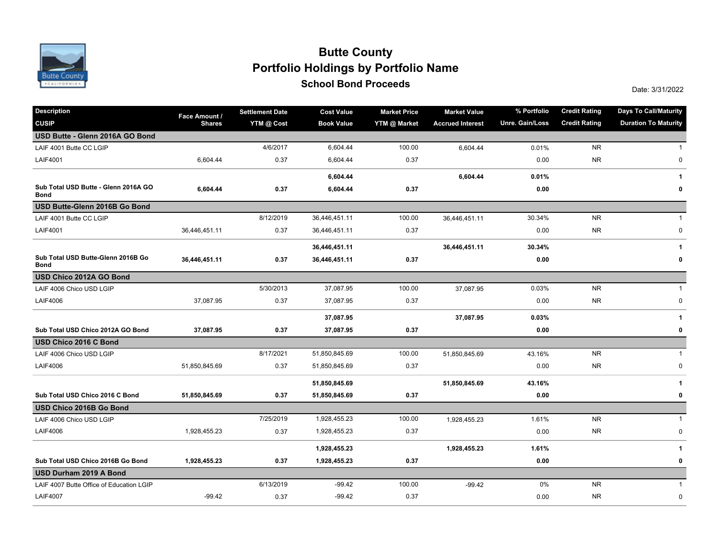

### **School Bond Proceeds School Bond Proceeds School Bond Proceeds Portfolio Holdings by Portfolio Name Butte County**

| <b>Description</b>                                  | Face Amount / | <b>Settlement Date</b> | <b>Cost Value</b> | <b>Market Price</b> | <b>Market Value</b>     | % Portfolio     | <b>Credit Rating</b> | <b>Days To Call/Maturity</b> |
|-----------------------------------------------------|---------------|------------------------|-------------------|---------------------|-------------------------|-----------------|----------------------|------------------------------|
| <b>CUSIP</b>                                        | <b>Shares</b> | YTM @ Cost             | <b>Book Value</b> | YTM @ Market        | <b>Accrued Interest</b> | Unre. Gain/Loss | <b>Credit Rating</b> | <b>Duration To Maturity</b>  |
| USD Butte - Glenn 2016A GO Bond                     |               |                        |                   |                     |                         |                 |                      |                              |
| LAIF 4001 Butte CC LGIP                             |               | 4/6/2017               | 6,604.44          | 100.00              | 6,604.44                | 0.01%           | <b>NR</b>            | $\mathbf{1}$                 |
| <b>LAIF4001</b>                                     | 6,604.44      | 0.37                   | 6,604.44          | 0.37                |                         | 0.00            | <b>NR</b>            | 0                            |
|                                                     |               |                        | 6,604.44          |                     | 6,604.44                | 0.01%           |                      | 1                            |
| Sub Total USD Butte - Glenn 2016A GO<br><b>Bond</b> | 6,604.44      | 0.37                   | 6,604.44          | 0.37                |                         | 0.00            |                      | 0                            |
| USD Butte-Glenn 2016B Go Bond                       |               |                        |                   |                     |                         |                 |                      |                              |
| LAIF 4001 Butte CC LGIP                             |               | 8/12/2019              | 36,446,451.11     | 100.00              | 36,446,451.11           | 30.34%          | <b>NR</b>            | $\mathbf{1}$                 |
| <b>LAIF4001</b>                                     | 36,446,451.11 | 0.37                   | 36,446,451.11     | 0.37                |                         | 0.00            | <b>NR</b>            | 0                            |
|                                                     |               |                        | 36,446,451.11     |                     | 36,446,451.11           | 30.34%          |                      | 1                            |
| Sub Total USD Butte-Glenn 2016B Go<br><b>Bond</b>   | 36,446,451.11 | 0.37                   | 36,446,451.11     | 0.37                |                         | 0.00            |                      | 0                            |
| USD Chico 2012A GO Bond                             |               |                        |                   |                     |                         |                 |                      |                              |
| LAIF 4006 Chico USD LGIP                            |               | 5/30/2013              | 37,087.95         | 100.00              | 37,087.95               | 0.03%           | <b>NR</b>            | $\mathbf{1}$                 |
| <b>LAIF4006</b>                                     | 37,087.95     | 0.37                   | 37,087.95         | 0.37                |                         | 0.00            | <b>NR</b>            | 0                            |
|                                                     |               |                        | 37,087.95         |                     | 37,087.95               | 0.03%           |                      | 1                            |
| Sub Total USD Chico 2012A GO Bond                   | 37,087.95     | 0.37                   | 37,087.95         | 0.37                |                         | 0.00            |                      | 0                            |
| USD Chico 2016 C Bond                               |               |                        |                   |                     |                         |                 |                      |                              |
| LAIF 4006 Chico USD LGIP                            |               | 8/17/2021              | 51,850,845.69     | 100.00              | 51,850,845.69           | 43.16%          | <b>NR</b>            | $\mathbf{1}$                 |
| <b>LAIF4006</b>                                     | 51,850,845.69 | 0.37                   | 51,850,845.69     | 0.37                |                         | 0.00            | <b>NR</b>            | $\pmb{0}$                    |
|                                                     |               |                        | 51,850,845.69     |                     | 51,850,845.69           | 43.16%          |                      | 1                            |
| Sub Total USD Chico 2016 C Bond                     | 51,850,845.69 | 0.37                   | 51,850,845.69     | 0.37                |                         | 0.00            |                      | 0                            |
| USD Chico 2016B Go Bond                             |               |                        |                   |                     |                         |                 |                      |                              |
| LAIF 4006 Chico USD LGIP                            |               | 7/25/2019              | 1,928,455.23      | 100.00              | 1,928,455.23            | 1.61%           | <b>NR</b>            | $\mathbf{1}$                 |
| <b>LAIF4006</b>                                     | 1,928,455.23  | 0.37                   | 1,928,455.23      | 0.37                |                         | 0.00            | <b>NR</b>            | 0                            |
|                                                     |               |                        | 1,928,455.23      |                     | 1,928,455.23            | 1.61%           |                      | 1                            |
| Sub Total USD Chico 2016B Go Bond                   | 1,928,455.23  | 0.37                   | 1,928,455.23      | 0.37                |                         | 0.00            |                      | 0                            |
| USD Durham 2019 A Bond                              |               |                        |                   |                     |                         |                 |                      |                              |
| LAIF 4007 Butte Office of Education LGIP            |               | 6/13/2019              | $-99.42$          | 100.00              | $-99.42$                | 0%              | <b>NR</b>            | $\mathbf 1$                  |
| <b>LAIF4007</b>                                     | $-99.42$      | 0.37                   | $-99.42$          | 0.37                |                         | 0.00            | <b>NR</b>            | $\pmb{0}$                    |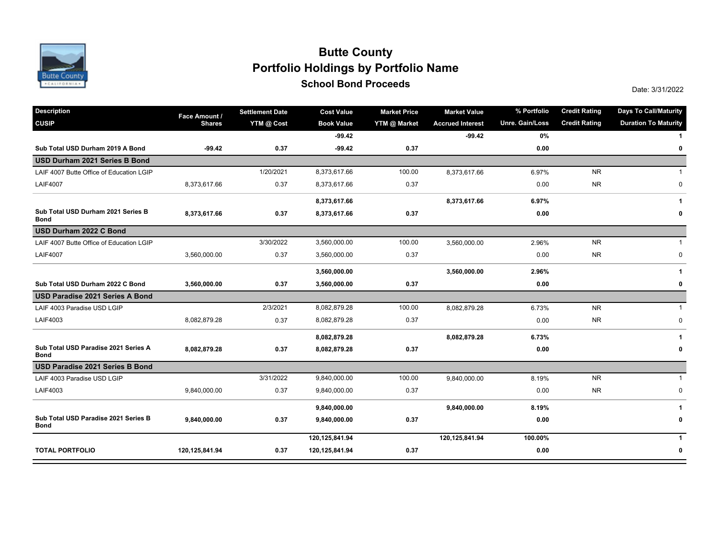

### **School Bond Proceeds School Bond Proceeds School Bond Proceeds Portfolio Holdings by Portfolio Name Butte County**

| <b>Description</b>                                  | Face Amount /  | <b>Settlement Date</b> | <b>Cost Value</b> | <b>Market Price</b> | <b>Market Value</b>     | % Portfolio     | <b>Credit Rating</b> | <b>Days To Call/Maturity</b> |
|-----------------------------------------------------|----------------|------------------------|-------------------|---------------------|-------------------------|-----------------|----------------------|------------------------------|
| <b>CUSIP</b>                                        | <b>Shares</b>  | YTM @ Cost             | <b>Book Value</b> | YTM @ Market        | <b>Accrued Interest</b> | Unre. Gain/Loss | <b>Credit Rating</b> | <b>Duration To Maturity</b>  |
|                                                     |                |                        | $-99.42$          |                     | $-99.42$                | 0%              |                      |                              |
| Sub Total USD Durham 2019 A Bond                    | $-99.42$       | 0.37                   | $-99.42$          | 0.37                |                         | 0.00            |                      | $\pmb{0}$                    |
| USD Durham 2021 Series B Bond                       |                |                        |                   |                     |                         |                 |                      |                              |
| LAIF 4007 Butte Office of Education LGIP            |                | 1/20/2021              | 8,373,617.66      | 100.00              | 8,373,617.66            | 6.97%           | <b>NR</b>            | $\overline{1}$               |
| <b>LAIF4007</b>                                     | 8,373,617.66   | 0.37                   | 8,373,617.66      | 0.37                |                         | 0.00            | <b>NR</b>            | $\mathbf 0$                  |
|                                                     |                |                        | 8,373,617.66      |                     | 8,373,617.66            | 6.97%           |                      | 1                            |
| Sub Total USD Durham 2021 Series B<br><b>Bond</b>   | 8,373,617.66   | 0.37                   | 8,373,617.66      | 0.37                |                         | 0.00            |                      | 0                            |
| USD Durham 2022 C Bond                              |                |                        |                   |                     |                         |                 |                      |                              |
| LAIF 4007 Butte Office of Education LGIP            |                | 3/30/2022              | 3,560,000.00      | 100.00              | 3,560,000.00            | 2.96%           | <b>NR</b>            | $\mathbf{1}$                 |
| <b>LAIF4007</b>                                     | 3,560,000.00   | 0.37                   | 3,560,000.00      | 0.37                |                         | 0.00            | <b>NR</b>            | $\pmb{0}$                    |
|                                                     |                |                        | 3,560,000.00      |                     | 3,560,000.00            | 2.96%           |                      | $\mathbf{1}$                 |
| Sub Total USD Durham 2022 C Bond                    | 3,560,000.00   | 0.37                   | 3,560,000.00      | 0.37                |                         | 0.00            |                      | 0                            |
| USD Paradise 2021 Series A Bond                     |                |                        |                   |                     |                         |                 |                      |                              |
| LAIF 4003 Paradise USD LGIP                         |                | 2/3/2021               | 8,082,879.28      | 100.00              | 8,082,879.28            | 6.73%           | <b>NR</b>            | $\mathbf{1}$                 |
| LAIF4003                                            | 8,082,879.28   | 0.37                   | 8,082,879.28      | 0.37                |                         | 0.00            | <b>NR</b>            | $\mathbf 0$                  |
|                                                     |                |                        | 8,082,879.28      |                     | 8,082,879.28            | 6.73%           |                      | 1                            |
| Sub Total USD Paradise 2021 Series A<br><b>Bond</b> | 8,082,879.28   | 0.37                   | 8,082,879.28      | 0.37                |                         | 0.00            |                      | 0                            |
| USD Paradise 2021 Series B Bond                     |                |                        |                   |                     |                         |                 |                      |                              |
| LAIF 4003 Paradise USD LGIP                         |                | 3/31/2022              | 9,840,000.00      | 100.00              | 9,840,000.00            | 8.19%           | <b>NR</b>            | $\mathbf{1}$                 |
| LAIF4003                                            | 9,840,000.00   | 0.37                   | 9,840,000.00      | 0.37                |                         | 0.00            | <b>NR</b>            | $\mathbf 0$                  |
|                                                     |                |                        | 9,840,000.00      |                     | 9,840,000.00            | 8.19%           |                      | $\mathbf{1}$                 |
| Sub Total USD Paradise 2021 Series B<br><b>Bond</b> | 9,840,000.00   | 0.37                   | 9,840,000.00      | 0.37                |                         | 0.00            |                      | 0                            |
|                                                     |                |                        | 120,125,841.94    |                     | 120,125,841.94          | 100.00%         |                      | $\mathbf{1}$                 |
| <b>TOTAL PORTFOLIO</b>                              | 120,125,841.94 | 0.37                   | 120,125,841.94    | 0.37                |                         | 0.00            |                      | 0                            |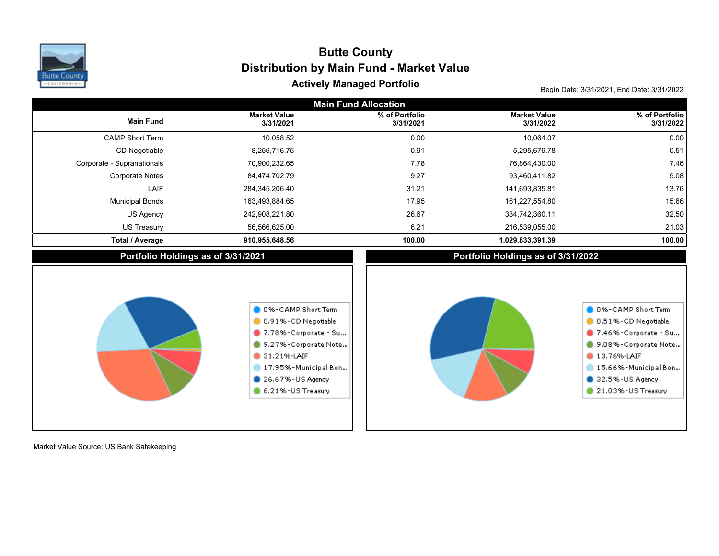

# Actively Managed Portfolio **Actively Managed Portfolio Actively Managed Portfolio Distribution by Main Fund - Market Value Butte County**

| <b>Main Fund Allocation</b>        |                                                                                                                                                                             |                             |                                    |                                                                                                                                                                             |  |  |  |  |  |  |
|------------------------------------|-----------------------------------------------------------------------------------------------------------------------------------------------------------------------------|-----------------------------|------------------------------------|-----------------------------------------------------------------------------------------------------------------------------------------------------------------------------|--|--|--|--|--|--|
| <b>Main Fund</b>                   | <b>Market Value</b><br>3/31/2021                                                                                                                                            | % of Portfolio<br>3/31/2021 | <b>Market Value</b><br>3/31/2022   | % of Portfolio<br>3/31/2022                                                                                                                                                 |  |  |  |  |  |  |
| <b>CAMP Short Term</b>             | 10,058.52                                                                                                                                                                   | 0.00                        | 10,064.07                          | 0.00                                                                                                                                                                        |  |  |  |  |  |  |
| CD Negotiable                      | 8,256,716.75                                                                                                                                                                | 0.91                        | 5,295,679.78                       | 0.51                                                                                                                                                                        |  |  |  |  |  |  |
| Corporate - Supranationals         | 70,900,232.65                                                                                                                                                               | 7.78                        | 76,864,430.00                      | 7.46                                                                                                                                                                        |  |  |  |  |  |  |
| <b>Corporate Notes</b>             | 84,474,702.79                                                                                                                                                               | 9.27                        | 93,460,411.82                      | 9.08                                                                                                                                                                        |  |  |  |  |  |  |
| LAIF                               | 284,345,206.40                                                                                                                                                              | 31.21                       | 141,693,835.81                     | 13.76                                                                                                                                                                       |  |  |  |  |  |  |
| <b>Municipal Bonds</b>             | 163,493,884.65                                                                                                                                                              | 17.95                       | 161,227,554.80                     | 15.66                                                                                                                                                                       |  |  |  |  |  |  |
| US Agency                          | 242,908,221.80                                                                                                                                                              | 26.67                       | 334,742,360.11                     | 32.50                                                                                                                                                                       |  |  |  |  |  |  |
| <b>US Treasury</b>                 | 56,566,625.00                                                                                                                                                               | 6.21                        | 216,539,055.00                     | 21.03                                                                                                                                                                       |  |  |  |  |  |  |
| <b>Total / Average</b>             | 910,955,648.56                                                                                                                                                              | 100.00                      | 1,029,833,391.39                   | 100.00                                                                                                                                                                      |  |  |  |  |  |  |
| Portfolio Holdings as of 3/31/2021 |                                                                                                                                                                             |                             | Portfolio Holdings as of 3/31/2022 |                                                                                                                                                                             |  |  |  |  |  |  |
|                                    | 0 0%-CAMP Short Term<br>0.91%-CD Negotiable<br>7.78%-Corporate - Su<br>9.27%-Corporate Note<br>31.21%-LAIF<br>17.95%-Municipal Bon<br>26.67%-US Agency<br>6.21%-US Treasury |                             |                                    | 0 0%-CAMP Short Term<br>0.51%-CD Negotiable<br>7.46%-Corporate - Su<br>9.08%-Corporate Note<br>13.76%-LAIF<br>15.66%-Municipal Bon<br>32.5%-US Agency<br>21.03%-US Treasury |  |  |  |  |  |  |

Market Value Source: US Bank Safekeeping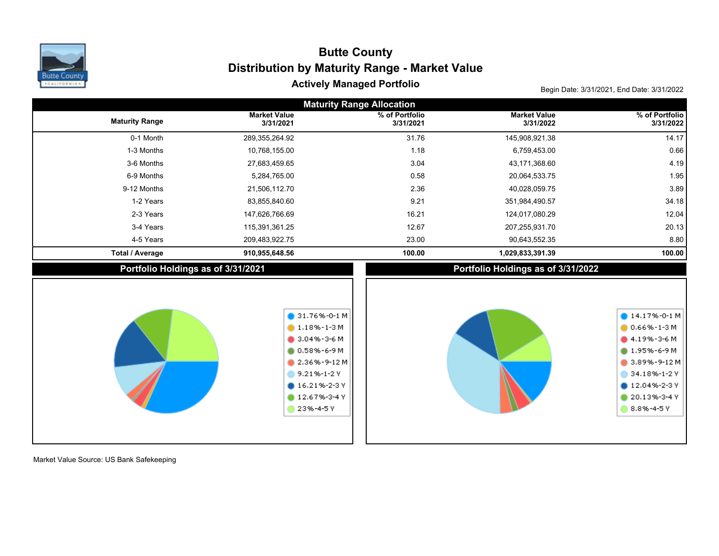

## Actively Managed Portfolio **Actively Managed Portfolio Actively Managed Portfolio Distribution by Maturity Range - Market Value Butte County**

| <b>Maturity Range Allocation</b> |                                    |                                                                                                                                                                               |                                    |                                                                                                                                                                                         |  |  |  |  |  |  |
|----------------------------------|------------------------------------|-------------------------------------------------------------------------------------------------------------------------------------------------------------------------------|------------------------------------|-----------------------------------------------------------------------------------------------------------------------------------------------------------------------------------------|--|--|--|--|--|--|
| <b>Maturity Range</b>            | <b>Market Value</b><br>3/31/2021   | % of Portfolio<br>3/31/2021                                                                                                                                                   | <b>Market Value</b><br>3/31/2022   | % of Portfolio<br>3/31/2022                                                                                                                                                             |  |  |  |  |  |  |
| 0-1 Month                        | 289,355,264.92                     | 31.76                                                                                                                                                                         | 145,908,921.38                     | 14.17                                                                                                                                                                                   |  |  |  |  |  |  |
| 1-3 Months                       | 10,768,155.00                      | 1.18                                                                                                                                                                          | 6,759,453.00                       | 0.66                                                                                                                                                                                    |  |  |  |  |  |  |
| 3-6 Months                       | 27,683,459.65                      | 3.04                                                                                                                                                                          | 43,171,368.60                      | 4.19                                                                                                                                                                                    |  |  |  |  |  |  |
| 6-9 Months                       | 5,284,765.00                       | 0.58                                                                                                                                                                          | 20,064,533.75                      | 1.95                                                                                                                                                                                    |  |  |  |  |  |  |
| 9-12 Months                      | 21,506,112.70                      | 2.36                                                                                                                                                                          | 40,028,059.75                      | 3.89                                                                                                                                                                                    |  |  |  |  |  |  |
| 1-2 Years                        | 83,855,840.60                      | 9.21                                                                                                                                                                          | 351,984,490.57                     | 34.18                                                                                                                                                                                   |  |  |  |  |  |  |
| 2-3 Years                        | 147,626,766.69                     | 16.21                                                                                                                                                                         | 124,017,080.29                     | 12.04                                                                                                                                                                                   |  |  |  |  |  |  |
| 3-4 Years                        | 115,391,361.25                     | 12.67                                                                                                                                                                         | 207,255,931.70                     | 20.13                                                                                                                                                                                   |  |  |  |  |  |  |
| 4-5 Years                        | 209,483,922.75                     | 23.00                                                                                                                                                                         | 90,643,552.35                      | 8.80                                                                                                                                                                                    |  |  |  |  |  |  |
| <b>Total / Average</b>           | 910,955,648.56                     | 100.00                                                                                                                                                                        | 1,029,833,391.39                   | 100.00                                                                                                                                                                                  |  |  |  |  |  |  |
|                                  | Portfolio Holdings as of 3/31/2021 |                                                                                                                                                                               | Portfolio Holdings as of 3/31/2022 |                                                                                                                                                                                         |  |  |  |  |  |  |
|                                  |                                    | $\bullet$ 31.76%-0-1 M<br>$1.18\% - 1-3M$<br>$9.04\% - 3 - 6 M$<br>$0.58\% - 6 - 9 M$<br>$2.36\% - 9 - 12M$<br>9.21%-1-2Y<br>$016.21\% - 2 - 3$ Y<br>12.67%-3-4 Y<br>23%-4-5Y |                                    | $14.17% - 0.1 M$<br>$0.66\% - 1 - 3 M$<br>$4.19\% - 3 - 6$ M<br>$0.1.95\% - 6 - 9 M$<br>$\bullet$ 3.89%-9-12 M<br>34.18%-1-2 Y<br>$12.04\% - 2 - 3$ Y<br>$20.13% - 3 - 4V$<br>8.8%-4-5Y |  |  |  |  |  |  |

Market Value Source: US Bank Safekeeping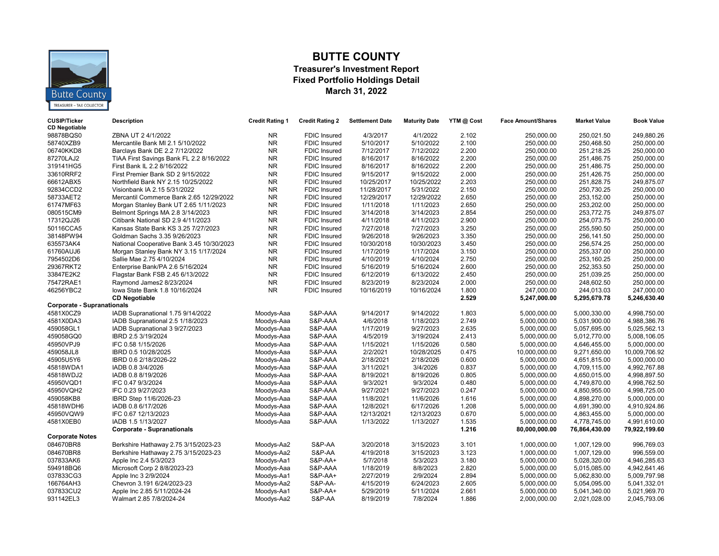

### **BUTTE COUNTY**

#### **Treasurer's Investment Report Fixed Portfolio Holdings Detail March 31, 2022**

| <b>CUSIP/Ticker</b><br><b>CD Negotiable</b> | <b>Description</b>                                      | <b>Credit Rating 1</b> | <b>Credit Rating 2</b> | <b>Settlement Date</b>  | <b>Maturity Date</b>    | YTM @ Cost     | <b>Face Amount/Shares</b>    | <b>Market Value</b>          | <b>Book Value</b>            |
|---------------------------------------------|---------------------------------------------------------|------------------------|------------------------|-------------------------|-------------------------|----------------|------------------------------|------------------------------|------------------------------|
| 98878BQS0                                   | ZBNA UT 2 4/1/2022                                      | NR.                    | <b>FDIC Insured</b>    | 4/3/2017                | 4/1/2022                | 2.102          | 250,000.00                   | 250,021.50                   | 249,880.26                   |
| 58740XZB9                                   | Mercantile Bank MI 2.1 5/10/2022                        | <b>NR</b>              | <b>FDIC Insured</b>    | 5/10/2017               | 5/10/2022               | 2.100          | 250,000.00                   | 250,468.50                   | 250,000.00                   |
| 06740KKD8                                   | Barclays Bank DE 2.2 7/12/2022                          | <b>NR</b>              | <b>FDIC Insured</b>    | 7/12/2017               | 7/12/2022               | 2.200          | 250,000.00                   | 251,218.25                   | 250,000.00                   |
| 87270LAJ2                                   | TIAA First Savings Bank FL 2.2 8/16/2022                | <b>NR</b>              | <b>FDIC Insured</b>    | 8/16/2017               | 8/16/2022               | 2.200          | 250,000.00                   | 251.486.75                   | 250,000.00                   |
| 319141HG5                                   | First Bank IL 2.2 8/16/2022                             | <b>NR</b>              | <b>FDIC</b> Insured    | 8/16/2017               | 8/16/2022               | 2.200          | 250.000.00                   | 251.486.75                   | 250.000.00                   |
| 33610RRF2                                   | First Premier Bank SD 2 9/15/2022                       | <b>NR</b>              | <b>FDIC Insured</b>    | 9/15/2017               | 9/15/2022               | 2.000          | 250,000.00                   | 251,426.75                   | 250,000.00                   |
| 66612ABX5                                   | Northfield Bank NY 2.15 10/25/2022                      | <b>NR</b>              | <b>FDIC Insured</b>    | 10/25/2017              | 10/25/2022              | 2.203          | 250,000.00                   | 251,828.75                   | 249,875.07                   |
| 92834CCD2                                   | Visionbank IA 2.15 5/31/2022                            | <b>NR</b>              | <b>FDIC Insured</b>    | 11/28/2017              | 5/31/2022               | 2.150          | 250,000.00                   | 250,730.25                   | 250,000.00                   |
| 58733AET2                                   | Mercantil Commerce Bank 2.65 12/29/2022                 | <b>NR</b>              | <b>FDIC Insured</b>    | 12/29/2017              | 12/29/2022              | 2.650          | 250,000.00                   | 253,152.00                   | 250,000.00                   |
| 61747MF63                                   | Morgan Stanley Bank UT 2.65 1/11/2023                   | <b>NR</b>              | <b>FDIC Insured</b>    | 1/11/2018               | 1/11/2023               | 2.650          | 250,000.00                   | 253,202.00                   | 250,000.00                   |
| 080515CM9                                   | Belmont Springs MA 2.8 3/14/2023                        | <b>NR</b>              | <b>FDIC Insured</b>    | 3/14/2018               | 3/14/2023               | 2.854          | 250,000.00                   | 253,772.75                   | 249,875.07                   |
| 17312QJ26                                   | Citibank National SD 2.9 4/11/2023                      | <b>NR</b>              | <b>FDIC Insured</b>    | 4/11/2018               | 4/11/2023               | 2.900          | 250,000.00                   | 254,073.75                   | 250,000.00                   |
| 50116CCA5                                   | Kansas State Bank KS 3.25 7/27/2023                     | <b>NR</b>              | <b>FDIC Insured</b>    | 7/27/2018               | 7/27/2023               | 3.250          | 250,000.00                   | 255,590.50                   | 250,000.00                   |
| 38148PW94                                   | Goldman Sachs 3.35 9/26/2023                            | <b>NR</b>              | <b>FDIC</b> Insured    | 9/26/2018               | 9/26/2023               | 3.350          | 250,000.00                   | 256,141.50                   | 250,000.00                   |
| 635573AK4                                   | National Cooperative Bank 3.45 10/30/2023               | <b>NR</b>              | <b>FDIC Insured</b>    | 10/30/2018              | 10/30/2023              | 3.450          | 250,000.00                   | 256,574.25                   | 250,000.00                   |
| 61760AUJ6                                   | Morgan Stanley Bank NY 3.15 1/17/2024                   | <b>NR</b>              | <b>FDIC</b> Insured    | 1/17/2019               | 1/17/2024               | 3.150          | 250,000.00                   | 255,337.00                   | 250,000.00                   |
| 7954502D6                                   | Sallie Mae 2.75 4/10/2024                               | <b>NR</b>              | <b>FDIC Insured</b>    | 4/10/2019               | 4/10/2024               | 2.750          | 250,000.00                   | 253,160.25                   | 250,000.00                   |
| 29367RKT2                                   | Enterprise Bank/PA 2.6 5/16/2024                        | <b>NR</b>              | <b>FDIC Insured</b>    | 5/16/2019               | 5/16/2024               | 2.600          | 250,000.00                   | 252,353.50                   | 250,000.00                   |
| 33847E2K2                                   | Flagstar Bank FSB 2.45 6/13/2022                        | <b>NR</b>              | <b>FDIC Insured</b>    | 6/12/2019               | 6/13/2022               | 2.450          | 250,000.00                   | 251,039.25                   | 250,000.00                   |
| 75472RAE1                                   | Raymond James2 8/23/2024                                | <b>NR</b>              | <b>FDIC Insured</b>    | 8/23/2019               | 8/23/2024               | 2.000          | 250,000.00                   | 248,602.50                   | 250,000.00                   |
| 46256YBC2                                   | lowa State Bank 1.8 10/16/2024                          | <b>NR</b>              | <b>FDIC Insured</b>    | 10/16/2019              | 10/16/2024              | 1.800          | 247,000.00                   | 244,013.03                   | 247,000.00                   |
|                                             | <b>CD Negotiable</b>                                    |                        |                        |                         |                         | 2.529          | 5,247,000.00                 | 5,295,679.78                 | 5,246,630.40                 |
| <b>Corporate - Supranationals</b>           |                                                         |                        |                        |                         |                         |                |                              |                              |                              |
| 4581X0CZ9                                   | IADB Supranational 1.75 9/14/2022                       | Moodys-Aaa             | S&P-AAA                | 9/14/2017               | 9/14/2022               | 1.803          | 5,000,000.00                 | 5,000,330.00                 | 4,998,750.00                 |
| 4581X0DA3                                   | IADB Supranational 2.5 1/18/2023                        | Moodys-Aaa             | S&P-AAA                | 4/6/2018                | 1/18/2023               | 2.749          | 5,000,000.00                 | 5,031,900.00                 | 4,988,386.76                 |
| 459058GL1                                   | IADB Supranational 3 9/27/2023                          | Moodys-Aaa             | S&P-AAA                | 1/17/2019               | 9/27/2023               | 2.635          | 5,000,000.00                 | 5,057,695.00                 | 5,025,562.13                 |
| 459058GQ0                                   | IBRD 2.5 3/19/2024                                      | Moodys-Aaa             | S&P-AAA                | 4/5/2019                | 3/19/2024               | 2.413          | 5,000,000.00                 | 5,012,770.00                 | 5,008,106.05                 |
| 45950VPJ9                                   | IFC 0.58 1/15/2026                                      | Moodys-Aaa             | S&P-AAA                | 1/15/2021               | 1/15/2026               | 0.580          | 5,000,000.00                 | 4,646,455.00                 | 5,000,000.00                 |
| 459058JL8                                   | IBRD 0.5 10/28/2025                                     | Moodys-Aaa             | S&P-AAA                | 2/2/2021                | 10/28/2025              | 0.475          | 10,000,000.00                | 9,271,650.00                 | 10,009,706.92                |
| 45905U5Y6                                   | IBRD 0.6 2/18/2026-22                                   | Moodys-Aaa             | S&P-AAA                | 2/18/2021               | 2/18/2026               | 0.600          | 5,000,000.00                 | 4,651,815.00                 | 5,000,000.00                 |
| 45818WDA1                                   | IADB 0.8 3/4/2026                                       | Moodys-Aaa             | S&P-AAA                | 3/11/2021               | 3/4/2026                | 0.837          | 5,000,000.00                 | 4,709,115.00                 | 4,992,767.88                 |
| 45818WDJ2                                   | IADB 0.8 8/19/2026                                      | Moodys-Aaa             | S&P-AAA                | 8/19/2021               | 8/19/2026               | 0.805          | 5,000,000.00                 | 4,650,015.00                 | 4,998,897.50                 |
| 45950VQD1                                   | IFC 0.47 9/3/2024                                       | Moodys-Aaa             | S&P-AAA                | 9/3/2021                | 9/3/2024                | 0.480          | 5,000,000.00                 | 4,749,870.00                 | 4.998.762.50                 |
| 45950VQH2                                   | IFC 0.23 9/27/2023                                      | Moodys-Aaa             | S&P-AAA                | 9/27/2021               | 9/27/2023               | 0.247          | 5,000,000.00                 | 4,850,955.00                 | 4,998,725.00                 |
| 459058KB8                                   | IBRD Step 11/6/2026-23                                  | Moodys-Aaa             | S&P-AAA                | 11/8/2021               | 11/6/2026               | 1.616          | 5,000,000.00                 | 4,898,270.00                 | 5,000,000.00                 |
| 45818WDH6                                   | IADB 0.8 6/17/2026                                      | Moodys-Aaa             | S&P-AAA                | 12/8/2021               | 6/17/2026               | 1.208          | 5,000,000.00                 | 4,691,390.00                 | 4,910,924.86                 |
| 45950VQW9<br>4581X0EB0                      | IFC 0.67 12/13/2023                                     | Moodys-Aaa             | S&P-AAA<br>S&P-AAA     | 12/13/2021<br>1/13/2022 | 12/13/2023<br>1/13/2027 | 0.670<br>1.535 | 5,000,000.00<br>5,000,000.00 | 4,863,455.00<br>4,778,745.00 | 5,000,000.00<br>4,991,610.00 |
|                                             | IADB 1.5 1/13/2027<br><b>Corporate - Supranationals</b> | Moodys-Aaa             |                        |                         |                         | 1.216          | 80,000,000.00                | 76,864,430.00                | 79,922,199.60                |
| <b>Corporate Notes</b>                      |                                                         |                        |                        |                         |                         |                |                              |                              |                              |
| 084670BR8                                   | Berkshire Hathaway 2.75 3/15/2023-23                    | Moodys-Aa2             | S&P-AA                 | 3/20/2018               | 3/15/2023               | 3.101          | 1,000,000.00                 | 1,007,129.00                 | 996,769.03                   |
| 084670BR8                                   | Berkshire Hathaway 2.75 3/15/2023-23                    | Moodys-Aa2             | S&P-AA                 | 4/19/2018               | 3/15/2023               | 3.123          | 1,000,000.00                 | 1,007,129.00                 | 996,559.00                   |
| 037833AK6                                   | Apple Inc 2.4 5/3/2023                                  | Moodys-Aa1             | S&P-AA+                | 5/7/2018                | 5/3/2023                | 3.180          | 5,000,000.00                 | 5,028,320.00                 | 4,946,285.63                 |
| 594918BQ6                                   | Microsoft Corp 2 8/8/2023-23                            | Moodys-Aaa             | S&P-AAA                | 1/18/2019               | 8/8/2023                | 2.820          | 5,000,000.00                 | 5.015.085.00                 | 4,942,641.46                 |
| 037833CG3                                   | Apple Inc 3 2/9/2024                                    | Moodys-Aa1             | S&P-AA+                | 2/27/2019               | 2/9/2024                | 2.894          | 5,000,000.00                 | 5,062,830.00                 | 5,009,797.98                 |
| 166764AH3                                   | Chevron 3.191 6/24/2023-23                              | Moodys-Aa2             | S&P-AA-                | 4/15/2019               | 6/24/2023               | 2.605          | 5,000,000.00                 | 5,054,095.00                 | 5,041,332.01                 |
| 037833CU2                                   | Apple Inc 2.85 5/11/2024-24                             | Moodys-Aa1             | S&P-AA+                | 5/29/2019               | 5/11/2024               | 2.661          | 5,000,000.00                 | 5,041,340.00                 | 5,021,969.70                 |
| 931142EL3                                   | Walmart 2.85 7/8/2024-24                                | Moodys-Aa2             | S&P-AA                 | 8/19/2019               | 7/8/2024                | 1.886          | 2,000,000.00                 | 2,021,028.00                 | 2,045,793.06                 |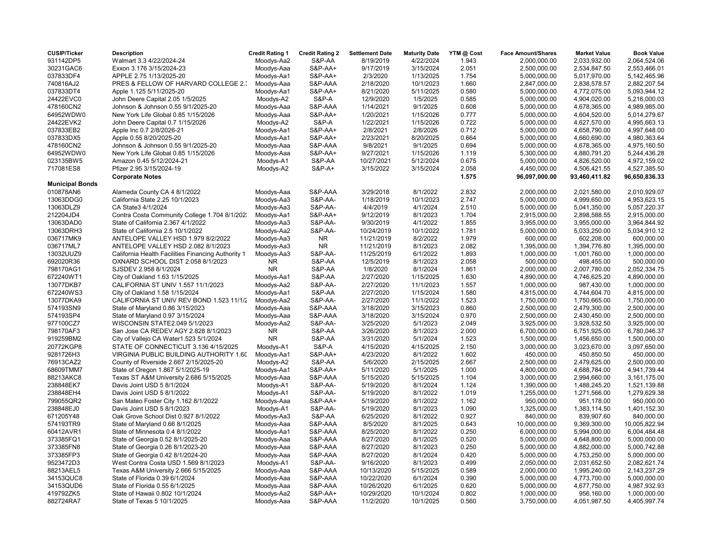| <b>CUSIP/Ticker</b>    | <b>Description</b>                                 | <b>Credit Rating 1</b> | <b>Credit Rating 2</b> | <b>Settlement Date</b> | <b>Maturity Date</b> | YTM @ Cost | <b>Face Amount/Shares</b> | <b>Market Value</b> | <b>Book Value</b> |
|------------------------|----------------------------------------------------|------------------------|------------------------|------------------------|----------------------|------------|---------------------------|---------------------|-------------------|
| 931142DP5              | Walmart 3.3 4/22/2024-24                           | Moodys-Aa2             | S&P-AA                 | 8/19/2019              | 4/22/2024            | 1.943      | 2,000,000.00              | 2,033,932.00        | 2,064,524.06      |
| 30231GAC6              | Exxon 3.176 3/15/2024-23                           | Moodys-Aaa             | S&P-AA+                | 9/17/2019              | 3/15/2024            | 2.051      | 2,500,000.00              | 2,534,847.50        | 2,553,466.01      |
| 037833DF4              | APPLE 2.75 1/13/2025-20                            | Moodys-Aa1             | <b>S&amp;P-AA+</b>     | 2/3/2020               | 1/13/2025            | 1.754      | 5,000,000.00              | 5,017,970.00        | 5,142,465.96      |
| 740816AJ2              | PRES & FELLOW OF HARVARD COLLEGE 2.3               | Moodys-Aaa             | S&P-AAA                | 2/18/2020              | 10/1/2023            | 1.660      | 2,847,000.00              | 2,838,578.57        | 2,882,207.54      |
| 037833DT4              | Apple 1.125 5/11/2025-20                           | Moodys-Aa1             | S&P-AA+                | 8/21/2020              | 5/11/2025            | 0.580      | 5,000,000.00              | 4,772,075.00        | 5,093,944.12      |
| 24422EVC0              | John Deere Capital 2.05 1/5/2025                   | Moodys-A2              | <b>S&amp;P-A</b>       | 12/9/2020              | 1/5/2025             | 0.585      | 5,000,000.00              | 4,904,020.00        | 5,216,000.03      |
| 478160CN2              | Johnson & Johnson 0.55 9/1/2025-20                 | Moodys-Aaa             | S&P-AAA                | 1/14/2021              | 9/1/2025             | 0.608      | 5,000,000.00              | 4,678,365.00        | 4,989,985.00      |
| 64952WDW0              | New York Life Global 0.85 1/15/2026                | Moodys-Aaa             | <b>S&amp;P-AA+</b>     | 1/20/2021              | 1/15/2026            | 0.777      | 5,000,000.00              | 4,604,520.00        | 5,014,279.67      |
| 24422EVK2              | John Deere Capital 0.7 1/15/2026                   | Moodys-A2              | <b>S&amp;P-A</b>       | 1/22/2021              | 1/15/2026            | 0.722      | 5,000,000.00              | 4,627,570.00        | 4,995,663.13      |
| 037833EB2              | Apple Inc 0.7 2/8/2026-21                          | Moodys-Aa1             | $S&P-AA+$              | 2/8/2021               | 2/8/2026             | 0.712      | 5,000,000.00              | 4,658,790.00        | 4,997,648.00      |
| 037833DX5              | Apple 0.55 8/20/2025-20                            | Moodys-Aa1             | <b>S&amp;P-AA+</b>     | 2/23/2021              | 8/20/2025            | 0.664      | 5,000,000.00              | 4,660,690.00        | 4,980,363.64      |
| 478160CN2              | Johnson & Johnson 0.55 9/1/2025-20                 | Moodys-Aaa             | S&P-AAA                | 9/8/2021               | 9/1/2025             | 0.694      | 5,000,000.00              | 4,678,365.00        | 4,975,160.50      |
| 64952WDW0              | New York Life Global 0.85 1/15/2026                | Moodys-Aaa             | S&P-AA+                | 9/27/2021              | 1/15/2026            | 1.119      | 5,300,000.00              | 4,880,791.20        | 5,244,436.28      |
| 023135BW5              | Amazon 0.45 5/12/2024-21                           | Moodys-A1              | S&P-AA                 | 10/27/2021             | 5/12/2024            | 0.675      | 5,000,000.00              | 4,826,520.00        | 4,972,159.02      |
| 717081ES8              | Pfizer 2.95 3/15/2024-19                           | Moodys-A2              | S&P-A+                 | 3/15/2022              | 3/15/2024            | 2.058      | 4,450,000.00              | 4,506,421.55        | 4,527,385.50      |
|                        | <b>Corporate Notes</b>                             |                        |                        |                        |                      | 1.575      | 96,097,000.00             | 93,460,411.82       | 96,650,836.33     |
| <b>Municipal Bonds</b> |                                                    |                        |                        |                        |                      |            |                           |                     |                   |
| 010878AN6              | Alameda County CA 4 8/1/2022                       | Moodys-Aaa             | S&P-AAA                | 3/29/2018              | 8/1/2022             | 2.832      | 2,000,000.00              | 2,021,580.00        | 2,010,929.07      |
| 13063DDG0              | California State 2.25 10/1/2023                    | Moodys-Aa3             | S&P-AA-                | 1/18/2019              | 10/1/2023            | 2.747      | 5,000,000.00              | 4,999,650.00        | 4,953,623.15      |
| 13063DLZ9              | CA State3 4/1/2024                                 | Moodys-Aa3             | S&P-AA-                | 4/4/2019               | 4/1/2024             | 2.510      | 5,000,000.00              | 5,041,350.00        | 5,057,220.37      |
| 212204JD4              | Contra Costa Community College 1.704 8/1/2023      | Moodys-Aa1             | S&P-AA+                | 9/12/2019              | 8/1/2023             | 1.704      | 2,915,000.00              | 2,898,588.55        | 2,915,000.00      |
| 13063DAD0              | State of California 2.367 4/1/2022                 | Moodys-Aa3             | S&P-AA-                | 9/30/2019              | 4/1/2022             | 1.855      | 3,955,000.00              | 3,955,000.00        | 3,964,844.92      |
| 13063DRH3              | State of California 2.5 10/1/2022                  | Moodys-Aa2             | S&P-AA-                | 10/24/2019             | 10/1/2022            | 1.781      | 5,000,000.00              | 5,033,250.00        | 5,034,910.12      |
| 036717MK9              | ANTELOPE VALLEY HSD 1.979 8/2/2022                 | Moodys-Aa3             | <b>NR</b>              | 11/21/2019             | 8/2/2022             | 1.979      | 600,000.00                | 602,208.00          | 600,000.00        |
| 036717ML7              | ANTELOPE VALLEY HSD 2.082 8/1/2023                 | Moodys-Aa3             | <b>NR</b>              | 11/21/2019             | 8/1/2023             | 2.082      | 1,395,000.00              | 1,394,776.80        | 1,395,000.00      |
| 13032UUZ9              | California Health Facilities Financing Authority 1 | Moodys-Aa3             | S&P-AA-                | 11/25/2019             | 6/1/2022             | 1.893      | 1,000,000.00              | 1,001,760.00        | 1,000,000.00      |
| 692020R36              | OXNARD SCHOOL DIST 2.058 8/1/2023                  | NR                     | S&P-AA                 | 12/5/2019              | 8/1/2023             | 2.058      | 500,000.00                | 498,455.00          | 500,000.00        |
| 798170AG1              | SJSDEV 2.958 8/1/2024                              | <b>NR</b>              | S&P-AA                 | 1/8/2020               | 8/1/2024             | 1.861      | 2,000,000.00              | 2,007,780.00        | 2,052,334.75      |
| 672240WT1              | City of Oakland 1.63 1/15/2025                     | Moodys-Aa1             | S&P-AA                 | 2/27/2020              | 1/15/2025            | 1.630      | 4,890,000.00              | 4,746,625.20        | 4,890,000.00      |
| 13077DKB7              | CALIFORNIA ST UNIV 1.557 11/1/2023                 | Moodys-Aa2             | S&P-AA-                | 2/27/2020              | 11/1/2023            | 1.557      | 1,000,000.00              | 987,430.00          | 1,000,000.00      |
| 672240WS3              | City of Oakland 1.58 1/15/2024                     | Moodys-Aa1             | S&P-AA                 | 2/27/2020              | 1/15/2024            | 1.580      | 4,815,000.00              | 4,744,604.70        | 4,815,000.00      |
| 13077DKA9              | CALIFORNIA ST UNIV REV BOND 1.523 11/1/2           | Moodys-Aa2             | S&P-AA-                | 2/27/2020              | 11/1/2022            | 1.523      | 1,750,000.00              | 1,750,665.00        | 1,750,000.00      |
| 574193SN9              | State of Maryland 0.86 3/15/2023                   | Moodys-Aaa             | S&P-AAA                | 3/18/2020              | 3/15/2023            | 0.860      | 2,500,000.00              | 2,479,300.00        | 2,500,000.00      |
| 574193SP4              | State of Maryland 0.97 3/15/2024                   | Moodys-Aaa             | S&P-AAA                | 3/18/2020              | 3/15/2024            | 0.970      | 2,500,000.00              | 2,430,450.00        | 2,500,000.00      |
| 977100CZ7              | WISCONSIN STATE2.049 5/1/2023                      | Moodys-Aa2             | S&P-AA-                | 3/25/2020              | 5/1/2023             | 2.049      | 3,925,000.00              | 3,928,532.50        | 3,925,000.00      |
| 798170AF3              | San Jose CA REDEV AGY 2.828 8/1/2023               | <b>NR</b>              | S&P-AA                 | 3/26/2020              | 8/1/2023             | 2.000      | 6,700,000.00              | 6,751,925.00        | 6.780.046.37      |
| 919259BM2              |                                                    | <b>NR</b>              | S&P-AA                 | 3/31/2020              | 5/1/2024             | 1.523      |                           |                     | 1,500,000.00      |
|                        | City of Vallejo CA Water1.523 5/1/2024             |                        |                        |                        |                      |            | 1,500,000.00              | 1,456,650.00        |                   |
| 20772KGP8              | STATE OF CONNECTICUT 3.136 4/15/2025               | Moodys-A1              | <b>S&amp;P-A</b>       | 4/15/2020              | 4/15/2025            | 2.150      | 3,000,000.00              | 3,023,670.00        | 3,097,650.00      |
| 9281726H3              | VIRGINIA PUBLIC BUILDING AUTHORITY 1.60            | Moodys-Aa1             | <b>S&amp;P-AA+</b>     | 4/23/2020              | 8/1/2022             | 1.602      | 450,000.00                | 450,850.50          | 450,000.00        |
| 76913CAZ2              | County of Riverside 2.667 2/15/2025-20             | Moodys-A2              | S&P-AA                 | 5/6/2020               | 2/15/2025            | 2.667      | 2,500,000.00              | 2,479,625.00        | 2,500,000.00      |
| 68609TMM7              | State of Oregon 1.867 5/1/2025-19                  | Moodys-Aa1             | S&P-AA+                | 5/11/2020              | 5/1/2025             | 1.000      | 4,800,000.00              | 4,688,784.00        | 4,941,739.44      |
| 88213AKC8              | Texas ST A&M University 2.686 5/15/2025            | Moodys-Aaa             | S&P-AAA                | 5/15/2020              | 5/15/2025            | 1.104      | 3,000,000.00              | 2,994,660.00        | 3,161,175.00      |
| 238848EK7              | Davis Joint USD 5 8/1/2024                         | Moodys-A1              | S&P-AA-                | 5/19/2020              | 8/1/2024             | 1.124      | 1,390,000.00              | 1,488,245.20        | 1,521,139.88      |
| 238848EH4              | Davis Joint USD 5 8/1/2022                         | Moodys-A1              | S&P-AA-                | 5/19/2020              | 8/1/2022             | 1.019      | 1,255,000.00              | 1,271,566.00        | 1,279,629.38      |
| 799055QR2              | San Mateo Foster City 1.162 8/1/2022               | Moodys-Aaa             | S&P-AA+                | 5/19/2020              | 8/1/2022             | 1.162      | 950,000.00                | 951,178.00          | 950,000.00        |
| 238848EJ0              | Davis Joint USD 5 8/1/2023                         | Moodys-A1              | S&P-AA-                | 5/19/2020              | 8/1/2023             | 1.090      | 1,325,000.00              | 1,383,114.50        | 1,401,152.30      |
| 671205Y48              | Oak Grove School Dist 0.927 8/1/2022               | Moodys-Aa3             | S&P-AA                 | 6/25/2020              | 8/1/2022             | 0.927      | 840,000.00                | 839,907.60          | 840,000.00        |
| 574193TR9              | State of Maryland 0.66 8/1/2025                    | Moodys-Aaa             | S&P-AAA                | 8/5/2020               | 8/1/2025             | 0.643      | 10,000,000.00             | 9,369,300.00        | 10,005,822.94     |
| 60412AVR1              | State of Minnesota 0.4 8/1/2022                    | Moodys-Aa1             | S&P-AAA                | 8/25/2020              | 8/1/2022             | 0.250      | 6,000,000.00              | 5,994,000.00        | 6,004,484.48      |
| 373385FQ1              | State of Georgia 0.52 8/1/2025-20                  | Moodys-Aaa             | S&P-AAA                | 8/27/2020              | 8/1/2025             | 0.520      | 5,000,000.00              | 4,648,800.00        | 5,000,000.00      |
| 373385FN8              | State of Georgia 0.26 8/1/2023-20                  | Moodys-Aaa             | S&P-AAA                | 8/27/2020              | 8/1/2023             | 0.250      | 5,000,000.00              | 4,882,000.00        | 5,000,742.88      |
| 373385FP3              | State of Georgia 0.42 8/1/2024-20                  | Moodys-Aaa             | S&P-AAA                | 8/27/2020              | 8/1/2024             | 0.420      | 5,000,000.00              | 4,753,250.00        | 5,000,000.00      |
| 9523472D3              | West Contra Costa USD 1.569 8/1/2023               | Moodys-A1              | S&P-AA-                | 9/16/2020              | 8/1/2023             | 0.499      | 2,050,000.00              | 2,031,652.50        | 2,082,621.74      |
| 88213AEL5              | Texas A&M University 2.666 5/15/2025               | Moodys-Aaa             | S&P-AAA                | 10/13/2020             | 5/15/2025            | 0.589      | 2,000,000.00              | 1,995,240.00        | 2,143,237.29      |
| 34153QUC8              | State of Florida 0.39 6/1/2024                     | Moodys-Aaa             | S&P-AAA                | 10/22/2020             | 6/1/2024             | 0.390      | 5,000,000.00              | 4,773,700.00        | 5,000,000.00      |
| 34153QUD6              | State of Florida 0.55 6/1/2025                     | Moodys-Aaa             | S&P-AAA                | 10/26/2020             | 6/1/2025             | 0.620      | 5,000,000.00              | 4,677,750.00        | 4,987,932.93      |
| 419792ZK5              | State of Hawaii 0.802 10/1/2024                    | Moodys-Aa2             | <b>S&amp;P-AA+</b>     | 10/29/2020             | 10/1/2024            | 0.802      | 1,000,000.00              | 956,160.00          | 1,000,000.00      |
| 882724RA7              | State of Texas 5 10/1/2025                         | Moodys-Aaa             | S&P-AAA                | 11/2/2020              | 10/1/2025            | 0.560      | 3,750,000.00              | 4,051,987.50        | 4,405,997.74      |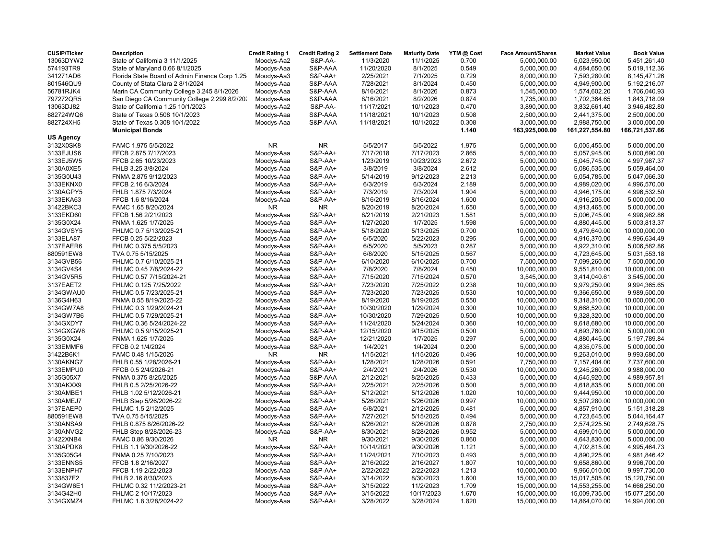| <b>CUSIP/Ticker</b> | <b>Description</b>                             | <b>Credit Rating 1</b> | <b>Credit Rating 2</b> | <b>Settlement Date</b> | <b>Maturity Date</b> | YTM @ Cost | <b>Face Amount/Shares</b> | <b>Market Value</b> | <b>Book Value</b> |
|---------------------|------------------------------------------------|------------------------|------------------------|------------------------|----------------------|------------|---------------------------|---------------------|-------------------|
| 13063DYW2           | State of California 3 11/1/2025                | Moodys-Aa2             | S&P-AA-                | 11/3/2020              | 11/1/2025            | 0.700      | 5,000,000.00              | 5,023,950.00        | 5,451,261.40      |
| 574193TR9           | State of Maryland 0.66 8/1/2025                | Moodys-Aaa             | S&P-AAA                | 11/20/2020             | 8/1/2025             | 0.549      | 5,000,000.00              | 4,684,650.00        | 5,019,112.36      |
| 341271AD6           | Florida State Board of Admin Finance Corp 1.25 | Moodys-Aa3             | <b>S&amp;P-AA+</b>     | 2/25/2021              | 7/1/2025             | 0.729      | 8,000,000.00              | 7,593,280.00        | 8,145,471.26      |
| 801546QU9           | County of Stata Clara 2 8/1/2024               | Moodys-Aaa             | S&P-AAA                | 7/28/2021              | 8/1/2024             | 0.450      | 5,000,000.00              | 4,949,900.00        | 5,192,216.07      |
| 56781RJK4           | Marin CA Community College 3.245 8/1/2026      | Moodys-Aaa             | S&P-AAA                | 8/16/2021              | 8/1/2026             | 0.873      | 1,545,000.00              | 1,574,602.20        | 1,706,040.93      |
| 797272QR5           | San Diego CA Community College 2.299 8/2/202   | Moodys-Aaa             | S&P-AAA                | 8/16/2021              | 8/2/2026             | 0.874      | 1,735,000.00              | 1,702,364.65        | 1,843,718.09      |
| 13063DJ82           | State of California 1.25 10/1/2023             | Moodys-Aa2             | S&P-AA-                | 11/17/2021             | 10/1/2023            | 0.470      | 3,890,000.00              | 3,832,661.40        | 3,946,482.80      |
| 882724WQ6           | State of Texas 0.508 10/1/2023                 | Moodys-Aaa             | S&P-AAA                | 11/18/2021             | 10/1/2023            | 0.508      | 2,500,000.00              | 2,441,375.00        | 2,500,000.00      |
| 882724XH5           | State of Texas 0.308 10/1/2022                 | Moodys-Aaa             | S&P-AAA                | 11/18/2021             | 10/1/2022            | 0.308      | 3,000,000.00              | 2,988,750.00        | 3,000,000.00      |
|                     | <b>Municipal Bonds</b>                         |                        |                        |                        |                      | 1.140      | 163,925,000.00            | 161,227,554.80      | 166,721,537.66    |
| <b>US Agency</b>    |                                                |                        |                        |                        |                      |            |                           |                     |                   |
| 3132X0SK8           | FAMC 1.975 5/5/2022                            | <b>NR</b>              | <b>NR</b>              | 5/5/2017               | 5/5/2022             | 1.975      |                           |                     | 5,000,000.00      |
|                     |                                                |                        |                        |                        |                      |            | 5,000,000.00              | 5,005,455.00        |                   |
| 3133EJUS6           | FFCB 2.875 7/17/2023                           | Moodys-Aaa             | <b>S&amp;P-AA+</b>     | 7/17/2018              | 7/17/2023            | 2.865      | 5,000,000.00              | 5,057,945.00        | 5,000,690.00      |
| 3133EJ5W5           | FFCB 2.65 10/23/2023                           | Moodys-Aaa             | <b>S&amp;P-AA+</b>     | 1/23/2019              | 10/23/2023           | 2.672      | 5,000,000.00              | 5,045,745.00        | 4,997,987.37      |
| 3130A0XE5           | FHLB 3.25 3/8/2024                             | Moodys-Aaa             | <b>S&amp;P-AA+</b>     | 3/8/2019               | 3/8/2024             | 2.612      | 5,000,000.00              | 5,086,535.00        | 5,059,464.00      |
| 3135G0U43           | FNMA 2.875 9/12/2023                           | Moodys-Aaa             | S&P-AA+                | 5/14/2019              | 9/12/2023            | 2.213      | 5,000,000.00              | 5,054,785.00        | 5,047,066.30      |
| 3133EKNX0           | FFCB 2.16 6/3/2024                             | Moodys-Aaa             | <b>S&amp;P-AA+</b>     | 6/3/2019               | 6/3/2024             | 2.189      | 5,000,000.00              | 4,989,020.00        | 4,996,570.00      |
| 3130AGPY5           | FHLB 1.875 7/3/2024                            | Moodys-Aaa             | <b>S&amp;P-AA+</b>     | 7/3/2019               | 7/3/2024             | 1.904      | 5,000,000.00              | 4,946,175.00        | 4,996,532.50      |
| 3133EKA63           | FFCB 1.6 8/16/2024                             | Moodys-Aaa             | S&P-AA+                | 8/16/2019              | 8/16/2024            | 1.600      | 5,000,000.00              | 4,916,205.00        | 5,000,000.00      |
| 31422BKC3           | FAMC 1.65 8/20/2024                            | <b>NR</b>              | NR                     | 8/20/2019              | 8/20/2024            | 1.650      | 5,000,000.00              | 4,913,465.00        | 5,000,000.00      |
| 3133EKD60           | FFCB 1.56 2/21/2023                            | Moodys-Aaa             | <b>S&amp;P-AA+</b>     | 8/21/2019              | 2/21/2023            | 1.581      | 5,000,000.00              | 5,006,745.00        | 4,998,982.86      |
| 3135G0X24           | FNMA 1.625 1/7/2025                            | Moodys-Aaa             | <b>S&amp;P-AA+</b>     | 1/27/2020              | 1/7/2025             | 1.598      | 5,000,000.00              | 4,880,445.00        | 5,003,813.37      |
| 3134GVSY5           | FHLMC 0.7 5/13/2025-21                         | Moodys-Aaa             | <b>S&amp;P-AA+</b>     | 5/18/2020              | 5/13/2025            | 0.700      | 10,000,000.00             | 9,479,640.00        | 10,000,000.00     |
| 3133ELA87           | FFCB 0.25 5/22/2023                            | Moodys-Aaa             | S&P-AA+                | 6/5/2020               | 5/22/2023            | 0.295      | 5,000,000.00              | 4,916,370.00        | 4,996,634.49      |
| 3137EAER6           | FHLMC 0.375 5/5/2023                           | Moodys-Aaa             | <b>S&amp;P-AA+</b>     | 6/5/2020               | 5/5/2023             | 0.287      | 5,000,000.00              | 4,922,310.00        | 5,006,582.86      |
| 880591EW8           | TVA 0.75 5/15/2025                             | Moodys-Aaa             | S&P-AA+                | 6/8/2020               | 5/15/2025            | 0.567      | 5,000,000.00              | 4,723,645.00        | 5,031,553.18      |
| 3134GVB56           | FHLMC 0.7 6/10/2025-21                         | Moodys-Aaa             | S&P-AA+                | 6/10/2020              | 6/10/2025            | 0.700      | 7,500,000.00              | 7,099,260.00        | 7,500,000.00      |
| 3134GV4S4           | FHLMC 0.45 7/8/2024-22                         | Moodys-Aaa             | <b>S&amp;P-AA+</b>     | 7/8/2020               | 7/8/2024             | 0.450      | 10,000,000.00             | 9,551,810.00        | 10,000,000.00     |
| 3134GV5R5           | FHLMC 0.57 7/15/2024-21                        | Moodys-Aaa             | <b>S&amp;P-AA+</b>     | 7/15/2020              | 7/15/2024            | 0.570      | 3,545,000.00              | 3,414,040.61        | 3,545,000.00      |
| 3137EAET2           | FHLMC 0.125 7/25/2022                          | Moodys-Aaa             | <b>S&amp;P-AA+</b>     | 7/23/2020              | 7/25/2022            | 0.238      | 10,000,000.00             | 9,979,250.00        | 9,994,365.65      |
| 3134GWAU0           | FHLMC 0.5 7/23/2025-21                         | Moodys-Aaa             | S&P-AA+                | 7/23/2020              | 7/23/2025            | 0.530      | 10,000,000.00             | 9,366,650.00        | 9,989,500.00      |
| 3136G4H63           | FNMA 0.55 8/19/2025-22                         | Moodys-Aaa             | <b>S&amp;P-AA+</b>     | 8/19/2020              | 8/19/2025            | 0.550      | 10,000,000.00             | 9,318,310.00        | 10,000,000.00     |
| 3134GW7A8           | FHLMC 0.3 1/29/2024-21                         |                        | <b>S&amp;P-AA+</b>     | 10/30/2020             | 1/29/2024            | 0.300      | 10,000,000.00             | 9,668,520.00        | 10,000,000.00     |
|                     |                                                | Moodys-Aaa             |                        |                        | 7/29/2025            | 0.500      |                           |                     |                   |
| 3134GW7B6           | FHLMC 0.5 7/29/2025-21                         | Moodys-Aaa             | S&P-AA+                | 10/30/2020             |                      |            | 10,000,000.00             | 9,328,320.00        | 10,000,000.00     |
| 3134GXDY7           | FHLMC 0.36 5/24/2024-22                        | Moodys-Aaa             | <b>S&amp;P-AA+</b>     | 11/24/2020             | 5/24/2024            | 0.360      | 10,000,000.00             | 9,618,680.00        | 10,000,000.00     |
| 3134GXGW8           | FHLMC 0.5 9/15/2025-21                         | Moodys-Aaa             | <b>S&amp;P-AA+</b>     | 12/15/2020             | 9/15/2025            | 0.500      | 5,000,000.00              | 4,693,760.00        | 5,000,000.00      |
| 3135G0X24           | FNMA 1.625 1/7/2025                            | Moodys-Aaa             | S&P-AA+                | 12/21/2020             | 1/7/2025             | 0.297      | 5,000,000.00              | 4,880,445.00        | 5,197,789.84      |
| 3133EMMF6           | FFCB 0.2 1/4/2024                              | Moodys-Aaa             | S&P-AA+                | 1/4/2021               | 1/4/2024             | 0.200      | 5,000,000.00              | 4,835,075.00        | 5,000,000.00      |
| 31422B6K1           | FAMC 0.48 1/15/2026                            | <b>NR</b>              | NR                     | 1/15/2021              | 1/15/2026            | 0.496      | 10,000,000.00             | 9,263,010.00        | 9,993,680.00      |
| 3130AKNG7           | FHLB 0.55 1/28/2026-21                         | Moodys-Aaa             | <b>S&amp;P-AA+</b>     | 1/28/2021              | 1/28/2026            | 0.591      | 7,750,000.00              | 7,157,404.00        | 7,737,600.00      |
| 3133EMPU0           | FFCB 0.5 2/4/2026-21                           | Moodys-Aaa             | S&P-AA+                | 2/4/2021               | 2/4/2026             | 0.530      | 10,000,000.00             | 9,245,260.00        | 9,988,000.00      |
| 3135G05X7           | FNMA 0.375 8/25/2025                           | Moodys-Aaa             | S&P-AAA                | 2/12/2021              | 8/25/2025            | 0.433      | 5,000,000.00              | 4,645,920.00        | 4,989,957.81      |
| 3130AKXX9           | FHLB 0.5 2/25/2026-22                          | Moodys-Aaa             | <b>S&amp;P-AA+</b>     | 2/25/2021              | 2/25/2026            | 0.500      | 5,000,000.00              | 4,618,835.00        | 5,000,000.00      |
| 3130AMBE1           | FHLB 1.02 5/12/2026-21                         | Moodys-Aaa             | <b>S&amp;P-AA+</b>     | 5/12/2021              | 5/12/2026            | 1.020      | 10,000,000.00             | 9,444,950.00        | 10,000,000.00     |
| 3130AMEJ7           | FHLB Step 5/26/2026-22                         | Moodys-Aaa             | <b>S&amp;P-AA+</b>     | 5/26/2021              | 5/26/2026            | 0.997      | 10,000,000.00             | 9,507,280.00        | 10,000,000.00     |
| 3137EAEP0           | FHLMC 1.5 2/12/2025                            | Moodys-Aaa             | <b>S&amp;P-AA+</b>     | 6/8/2021               | 2/12/2025            | 0.481      | 5,000,000.00              | 4,857,910.00        | 5,151,318.28      |
| 880591EW8           | TVA 0.75 5/15/2025                             | Moodys-Aaa             | <b>S&amp;P-AA+</b>     | 7/27/2021              | 5/15/2025            | 0.494      | 5,000,000.00              | 4,723,645.00        | 5,044,164.47      |
| 3130ANSA9           | FHLB 0.875 8/26/2026-22                        | Moodys-Aaa             | S&P-AA+                | 8/26/2021              | 8/26/2026            | 0.878      | 2,750,000.00              | 2,574,225.50        | 2,749,628.75      |
| 3130ANVG2           | FHLB Step 8/28/2026-23                         | Moodys-Aaa             | <b>S&amp;P-AA+</b>     | 8/30/2021              | 8/28/2026            | 0.952      | 5,000,000.00              | 4,699,010.00        | 5,000,000.00      |
| 31422XNB4           | FAMC 0.86 9/30/2026                            | ΝR                     | NR                     | 9/30/2021              | 9/30/2026            | 0.860      | 5,000,000.00              | 4,643,830.00        | 5,000,000.00      |
| 3130APDK8           | FHLB 1.1 9/30/2026-22                          | Moodys-Aaa             | <b>S&amp;P-AA+</b>     | 10/14/2021             | 9/30/2026            | 1.121      | 5,000,000.00              | 4,702,815.00        | 4,995,464.73      |
| 3135G05G4           | FNMA 0.25 7/10/2023                            | Moodys-Aaa             | <b>S&amp;P-AA+</b>     | 11/24/2021             | 7/10/2023            | 0.493      | 5,000,000.00              | 4,890,225.00        | 4,981,846.42      |
| 3133ENNS5           | FFCB 1.8 2/16/2027                             | Moodys-Aaa             | S&P-AA+                | 2/16/2022              | 2/16/2027            | 1.807      | 10,000,000.00             | 9,658,860.00        | 9,996,700.00      |
| 3133ENPH7           | FFCB 1.19 2/22/2023                            | Moodys-Aaa             | <b>S&amp;P-AA+</b>     | 2/22/2022              | 2/22/2023            | 1.213      | 10,000,000.00             | 9,966,010.00        | 9,997,730.00      |
| 3133837F2           | FHLB 2.16 8/30/2023                            | Moodys-Aaa             | S&P-AA+                | 3/14/2022              | 8/30/2023            | 1.600      | 15,000,000.00             | 15,017,505.00       | 15,120,750.00     |
| 3134GW6E1           | FHLMC 0.32 11/2/2023-21                        | Moodys-Aaa             | <b>S&amp;P-AA+</b>     | 3/15/2022              | 11/2/2023            | 1.709      | 15,000,000.00             | 14,553,255.00       | 14,666,250.00     |
| 3134G42H0           | FHLMC 2 10/17/2023                             |                        | S&P-AA+                |                        |                      | 1.670      |                           |                     |                   |
|                     |                                                | Moodys-Aaa             |                        | 3/15/2022              | 10/17/2023           |            | 15,000,000.00             | 15,009,735.00       | 15,077,250.00     |
| 3134GXMZ4           | FHLMC 1.8 3/28/2024-22                         | Moodys-Aaa             | <b>S&amp;P-AA+</b>     | 3/28/2022              | 3/28/2024            | 1.820      | 15,000,000.00             | 14,864,070.00       | 14,994,000.00     |